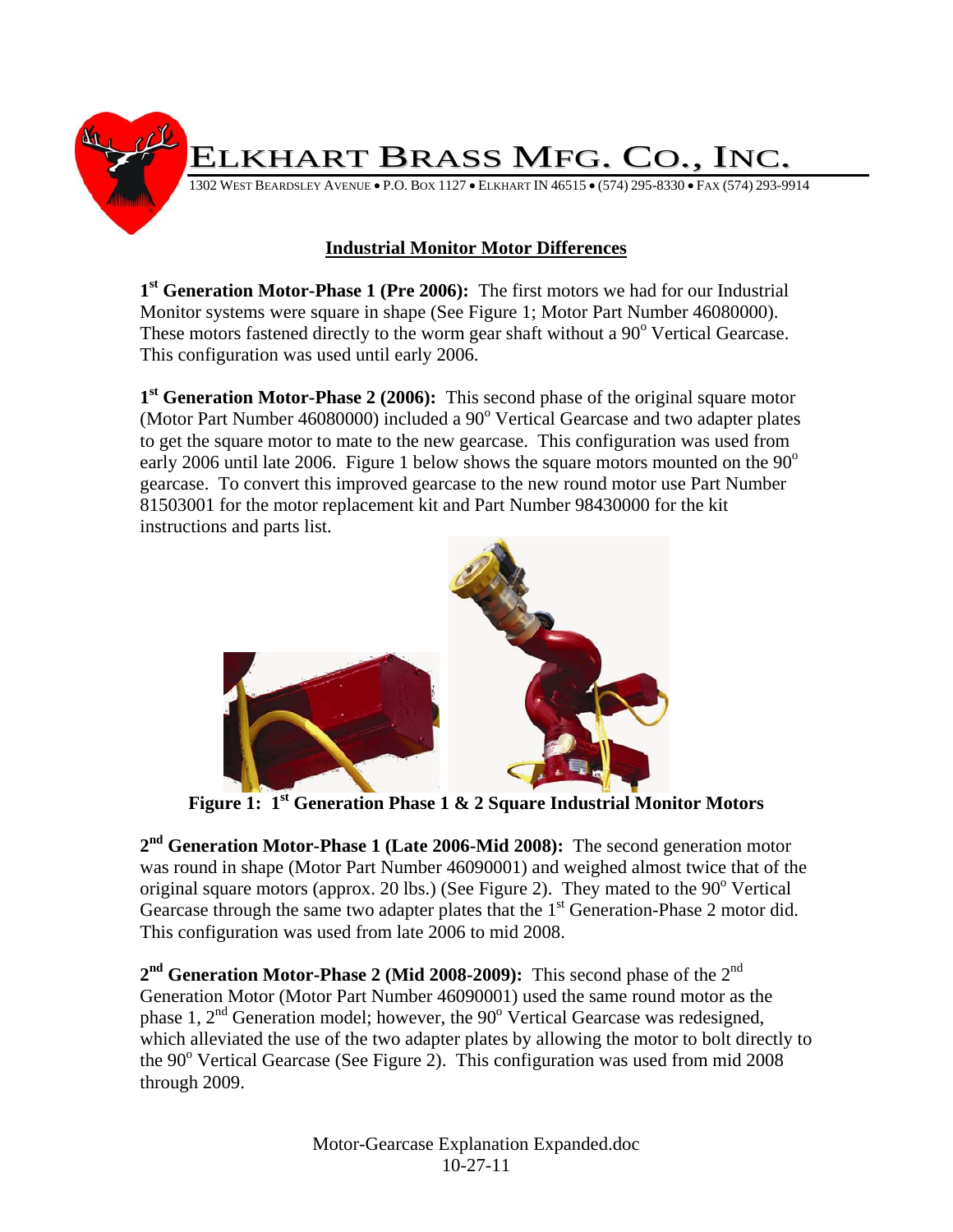

## **Industrial Monitor Motor Differences**

**1st Generation Motor-Phase 1 (Pre 2006):** The first motors we had for our Industrial Monitor systems were square in shape (See Figure 1; Motor Part Number 46080000). These motors fastened directly to the worm gear shaft without a 90<sup>°</sup> Vertical Gearcase. This configuration was used until early 2006.

**1st Generation Motor-Phase 2 (2006):** This second phase of the original square motor (Motor Part Number 46080000) included a 90° Vertical Gearcase and two adapter plates to get the square motor to mate to the new gearcase. This configuration was used from early 2006 until late 2006. Figure 1 below shows the square motors mounted on the  $90^{\circ}$ gearcase. To convert this improved gearcase to the new round motor use Part Number 81503001 for the motor replacement kit and Part Number 98430000 for the kit instructions and parts list.



**Figure 1: 1st Generation Phase 1 & 2 Square Industrial Monitor Motors** 

**2nd Generation Motor-Phase 1 (Late 2006-Mid 2008):** The second generation motor was round in shape (Motor Part Number 46090001) and weighed almost twice that of the original square motors (approx. 20 lbs.) (See Figure 2). They mated to the  $90^{\circ}$  Vertical Gearcase through the same two adapter plates that the  $1<sup>st</sup>$  Generation-Phase 2 motor did. This configuration was used from late 2006 to mid 2008.

2<sup>nd</sup> Generation Motor-Phase 2 (Mid 2008-2009): This second phase of the 2<sup>nd</sup> Generation Motor (Motor Part Number 46090001) used the same round motor as the phase 1,  $2<sup>nd</sup>$  Generation model; however, the 90 $^{\circ}$  Vertical Gearcase was redesigned, which alleviated the use of the two adapter plates by allowing the motor to bolt directly to the 90<sup>°</sup> Vertical Gearcase (See Figure 2). This configuration was used from mid 2008 through 2009.

> Motor-Gearcase Explanation Expanded.doc 10-27-11